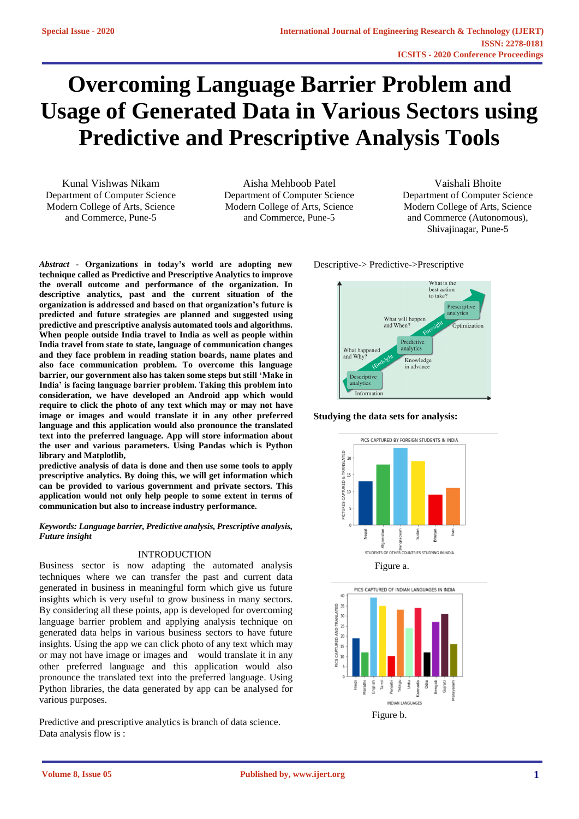# **Overcoming Language Barrier Problem and Usage of Generated Data in Various Sectors using Predictive and Prescriptive Analysis Tools**

Kunal Vishwas Nikam Department of Computer Science Modern College of Arts, Science and Commerce, Pune-5

Aisha Mehboob Patel Department of Computer Science Modern College of Arts, Science and Commerce, Pune-5

Vaishali Bhoite Department of Computer Science Modern College of Arts, Science and Commerce (Autonomous), Shivajinagar, Pune-5

*Abstract -* **Organizations in today's world are adopting new technique called as Predictive and Prescriptive Analytics to improve the overall outcome and performance of the organization. In descriptive analytics, past and the current situation of the organization is addressed and based on that organization's future is predicted and future strategies are planned and suggested using predictive and prescriptive analysis automated tools and algorithms. When people outside India travel to India as well as people within India travel from state to state, language of communication changes and they face problem in reading station boards, name plates and also face communication problem. To overcome this language barrier, our government also has taken some steps but still 'Make in India' is facing language barrier problem. Taking this problem into consideration, we have developed an Android app which would require to click the photo of any text which may or may not have image or images and would translate it in any other preferred language and this application would also pronounce the translated text into the preferred language. App will store information about the user and various parameters. Using Pandas which is Python library and Matplotlib,** 

**predictive analysis of data is done and then use some tools to apply prescriptive analytics. By doing this, we will get information which can be provided to various government and private sectors. This application would not only help people to some extent in terms of communication but also to increase industry performance.** 

### *Keywords: Language barrier, Predictive analysis, Prescriptive analysis, Future insight*

## INTRODUCTION

Business sector is now adapting the automated analysis techniques where we can transfer the past and current data generated in business in meaningful form which give us future insights which is very useful to grow business in many sectors. By considering all these points, app is developed for overcoming language barrier problem and applying analysis technique on generated data helps in various business sectors to have future insights. Using the app we can click photo of any text which may or may not have image or images and would translate it in any other preferred language and this application would also pronounce the translated text into the preferred language. Using Python libraries, the data generated by app can be analysed for various purposes.

Predictive and prescriptive analytics is branch of data science. Data analysis flow is :

Descriptive-> Predictive->Prescriptive



**Studying the data sets for analysis:**





**Volume 8, Issue 05**